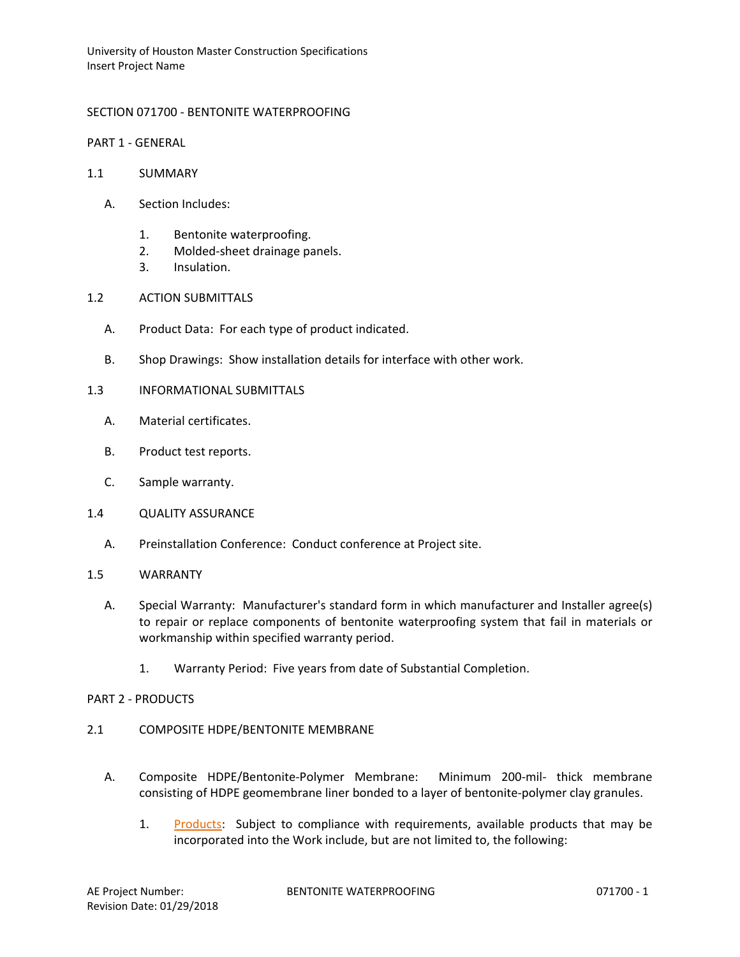University of Houston Master Construction Specifications Insert Project Name

# SECTION 071700 - BENTONITE WATERPROOFING

PART 1 - GENERAL

- 1.1 SUMMARY
	- A. Section Includes:
		- 1. Bentonite waterproofing.
		- 2. Molded-sheet drainage panels.
		- 3. Insulation.
- 1.2 ACTION SUBMITTALS
	- A. Product Data: For each type of product indicated.
	- B. Shop Drawings: Show installation details for interface with other work.
- 1.3 INFORMATIONAL SUBMITTALS
	- A. Material certificates.
	- B. Product test reports.
	- C. Sample warranty.
- 1.4 QUALITY ASSURANCE
	- A. Preinstallation Conference: Conduct conference at Project site.

## 1.5 WARRANTY

- A. Special Warranty: Manufacturer's standard form in which manufacturer and Installer agree(s) to repair or replace components of bentonite waterproofing system that fail in materials or workmanship within specified warranty period.
	- 1. Warranty Period: Five years from date of Substantial Completion.

## PART 2 - PRODUCTS

- 2.1 COMPOSITE HDPE/BENTONITE MEMBRANE
	- A. Composite HDPE/Bentonite-Polymer Membrane: Minimum 200-mil- thick membrane consisting of HDPE geomembrane liner bonded to a layer of bentonite-polymer clay granules.
		- 1. [Products:](http://www.specagent.com/LookUp/?ulid=4380&mf=04&src=wd) Subject to compliance with requirements, available products that may be incorporated into the Work include, but are not limited to, the following: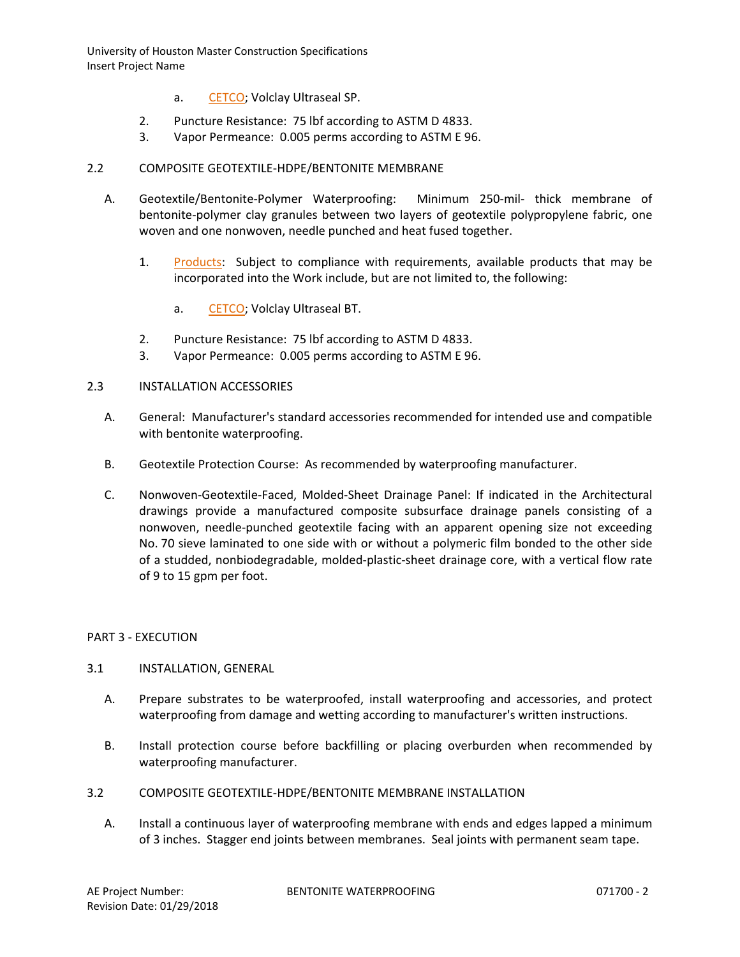University of Houston Master Construction Specifications Insert Project Name

- a. [CETCO;](http://www.specagent.com/LookUp/?uid=123456799240&mf=04&src=wd) Volclay Ultraseal SP.
- 2. Puncture Resistance: 75 lbf according to ASTM D 4833.
- 3. Vapor Permeance: 0.005 perms according to ASTM E 96.

# 2.2 COMPOSITE GEOTEXTILE-HDPE/BENTONITE MEMBRANE

- A. Geotextile/Bentonite-Polymer Waterproofing: Minimum 250-mil- thick membrane of bentonite-polymer clay granules between two layers of geotextile polypropylene fabric, one woven and one nonwoven, needle punched and heat fused together.
	- 1. [Products:](http://www.specagent.com/LookUp/?ulid=4387&mf=04&src=wd) Subject to compliance with requirements, available products that may be incorporated into the Work include, but are not limited to, the following:
		- a. [CETCO;](http://www.specagent.com/LookUp/?uid=123456799244&mf=04&src=wd) Volclay Ultraseal BT.
	- 2. Puncture Resistance: 75 lbf according to ASTM D 4833.
	- 3. Vapor Permeance: 0.005 perms according to ASTM E 96.

#### 2.3 INSTALLATION ACCESSORIES

- A. General: Manufacturer's standard accessories recommended for intended use and compatible with bentonite waterproofing.
- B. Geotextile Protection Course: As recommended by waterproofing manufacturer.
- C. Nonwoven-Geotextile-Faced, Molded-Sheet Drainage Panel: If indicated in the Architectural drawings provide a manufactured composite subsurface drainage panels consisting of a nonwoven, needle-punched geotextile facing with an apparent opening size not exceeding No. 70 sieve laminated to one side with or without a polymeric film bonded to the other side of a studded, nonbiodegradable, molded-plastic-sheet drainage core, with a vertical flow rate of 9 to 15 gpm per foot.

## PART 3 - EXECUTION

## 3.1 INSTALLATION, GENERAL

- A. Prepare substrates to be waterproofed, install waterproofing and accessories, and protect waterproofing from damage and wetting according to manufacturer's written instructions.
- B. Install protection course before backfilling or placing overburden when recommended by waterproofing manufacturer.
- 3.2 COMPOSITE GEOTEXTILE-HDPE/BENTONITE MEMBRANE INSTALLATION
	- A. Install a continuous layer of waterproofing membrane with ends and edges lapped a minimum of 3 inches. Stagger end joints between membranes. Seal joints with permanent seam tape.